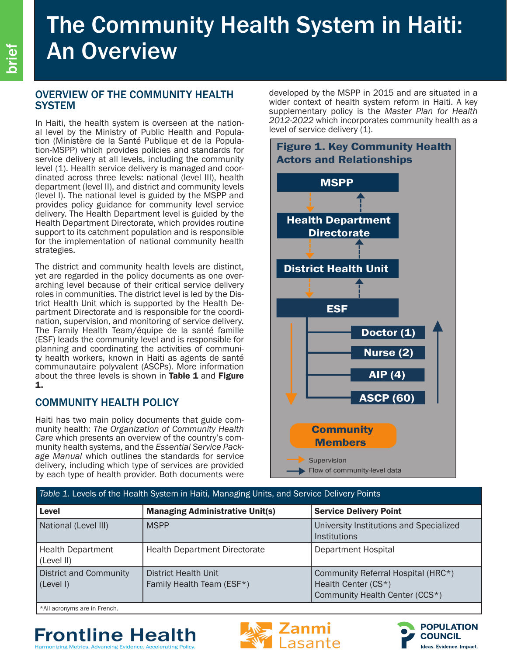# The Community Health System in Haiti: An Overview

### OVERVIEW OF THE COMMUNITY HEALTH **SYSTEM**

In Haiti, the health system is overseen at the nation-<br>al level by the Ministry of Public Health and Popula-<br>tion (Ministère de la Santé Publique et de la Popula-<br>tion-MSPP) which provides policies and standards for service delivery at all levels, including the community level (1). Health service delivery is managed and coordinated across three levels: national (level III), health department (level II), and district and community levels (level I). The national level is guided by the MSPP and provides policy guidance for community level service delivery. The Health Department level is guided by the Health Department Directorate, which provides routine support to its catchment population and is responsible for the implementation of national community health strategies.

The district and community health levels are distinct, yet are regarded in the policy documents as one overarching level because of their critical service delivery roles in communities. The district level is led by the District Health Unit which is supported by the Health Department Directorate and is responsible for the coordination, supervision, and monitoring of service delivery. The Family Health Team/équipe de la santé famille (ESF) leads the community level and is responsible for planning and coordinating the activities of community health workers, known in Haiti as agents de santé communautaire polyvalent (ASCPs). More information about the three levels is shown in Table  $1$  and Figure 1.

### COMMUNITY HEALTH POLICY

Haiti has two main policy documents that guide community health: *The Organization of Community Health Care* which presents an overview of the country's community health systems, and the *Essential Service Package Manual* which outlines the standards for service delivery, including which type of services are provided by each type of health provider. Both documents were

developed by the MSPP in 2015 and are situated in a wider context of health system reform in Haiti. A key supplementary policy is the *Master Plan for Health 2012-2022* which incorporates community health as a level of service delivery (1).



| Table 1. Levels of the Health System in Haiti, Managing Units, and Service Delivery Points |                                                   |                                                                                             |
|--------------------------------------------------------------------------------------------|---------------------------------------------------|---------------------------------------------------------------------------------------------|
| Level                                                                                      | <b>Managing Administrative Unit(s)</b>            | <b>Service Delivery Point</b>                                                               |
| National (Level III)                                                                       | <b>MSPP</b>                                       | University Institutions and Specialized<br>Institutions                                     |
| <b>Health Department</b><br>(Level II)                                                     | <b>Health Department Directorate</b>              | <b>Department Hospital</b>                                                                  |
| <b>District and Community</b><br>(Level I)                                                 | District Health Unit<br>Family Health Team (ESF*) | Community Referral Hospital (HRC*)<br>Health Center (CS*)<br>Community Health Center (CCS*) |

\*All acronyms are in French.

## **Frontline Health**